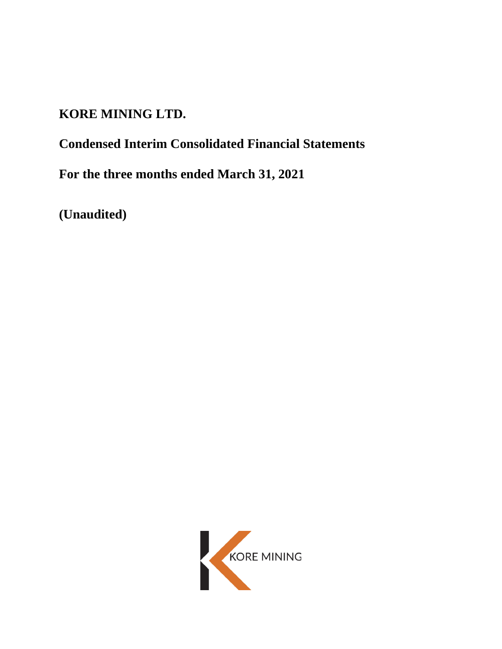# **KORE MINING LTD.**

# **Condensed Interim Consolidated Financial Statements**

**For the three months ended March 31, 2021**

**(Unaudited)**

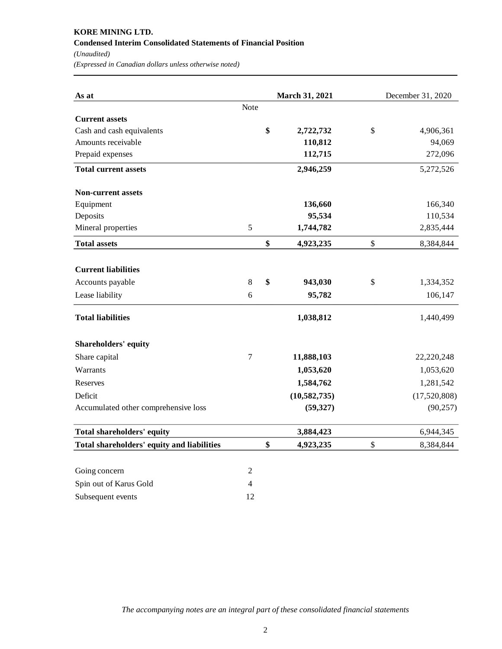## **KORE MINING LTD. Condensed Interim Consolidated Statements of Financial Position** *(Unaudited) (Expressed in Canadian dollars unless otherwise noted)*

**As at March 31, 2021** December 31, 2020 Note **Current assets** Cash and cash equivalents **\$** 2,722,732 \$ 4,906,361 Amounts receivable **110,812** 94,069 Prepaid expenses **112,715** 272,096 **Total current assets** 2,946,259 5,272,526 **Non-current assets** Equipment 136,660 166,340 Deposits **95,534** 110,534 Mineral properties 5 **1,744,782** 2,835,444 **Total assets \$** 4,923,235 \$ 8,384,844 **Current liabilities** Accounts payable **8 \$ 943,030** \$ 1,334,352 Lease liability **6 95,782** 106,147 **Total liabilities** 1,440,499 1,440,499 **Shareholders' equity** Share capital 7 **11,888,103** 22,220,248 Warrants 1,053,620 1,053,620 1,053,620 Reserves 1,584,762 1,281,542 Deficit **(10,582,735)** (17,520,808) Accumulated other comprehensive loss **(59,327)** (90,257) (90,257) **Total shareholders' equity** 3,884,423 6,944,345 **Total shareholders' equity and liabilities \$ 4,923,235** \$ 8,384,844

| Going concern          |    |
|------------------------|----|
| Spin out of Karus Gold |    |
| Subsequent events      | 12 |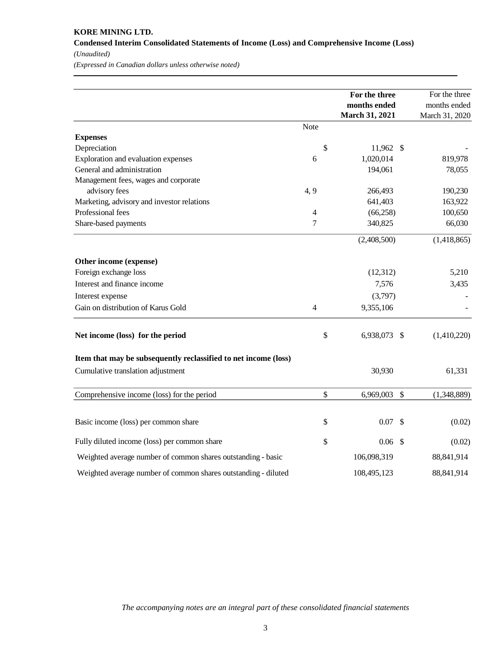## **KORE MINING LTD. Condensed Interim Consolidated Statements of Income (Loss) and Comprehensive Income (Loss)** *(Unaudited)*

*(Expressed in Canadian dollars unless otherwise noted)*

|                                                                 |      | For the three<br>months ended<br>March 31, 2021 |               | For the three<br>months ended<br>March 31, 2020 |
|-----------------------------------------------------------------|------|-------------------------------------------------|---------------|-------------------------------------------------|
|                                                                 | Note |                                                 |               |                                                 |
| <b>Expenses</b>                                                 |      |                                                 |               |                                                 |
| Depreciation                                                    |      | \$<br>11,962 \$                                 |               |                                                 |
| Exploration and evaluation expenses                             | 6    | 1,020,014                                       |               | 819,978                                         |
| General and administration                                      |      | 194,061                                         |               | 78,055                                          |
| Management fees, wages and corporate                            |      |                                                 |               |                                                 |
| advisory fees                                                   | 4, 9 | 266,493                                         |               | 190,230                                         |
| Marketing, advisory and investor relations                      |      | 641,403                                         |               | 163,922                                         |
| Professional fees                                               | 4    | (66, 258)                                       |               | 100,650                                         |
| Share-based payments                                            | 7    | 340,825                                         |               | 66,030                                          |
|                                                                 |      | (2,408,500)                                     |               | (1,418,865)                                     |
| Other income (expense)                                          |      |                                                 |               |                                                 |
| Foreign exchange loss                                           |      | (12, 312)                                       |               | 5,210                                           |
| Interest and finance income                                     |      | 7,576                                           |               | 3,435                                           |
| Interest expense                                                |      | (3,797)                                         |               |                                                 |
| Gain on distribution of Karus Gold                              | 4    | 9,355,106                                       |               |                                                 |
| Net income (loss) for the period                                |      | \$<br>6,938,073 \$                              |               | (1,410,220)                                     |
| Item that may be subsequently reclassified to net income (loss) |      |                                                 |               |                                                 |
| Cumulative translation adjustment                               |      | 30,930                                          |               | 61,331                                          |
| Comprehensive income (loss) for the period                      |      | \$<br>6,969,003                                 | $\mathcal{S}$ | (1,348,889)                                     |
|                                                                 |      |                                                 |               |                                                 |
| Basic income (loss) per common share                            |      | \$<br>0.07                                      | $\mathcal{S}$ | (0.02)                                          |
| Fully diluted income (loss) per common share                    |      | \$<br>$0.06$ \$                                 |               | (0.02)                                          |
| Weighted average number of common shares outstanding - basic    |      | 106,098,319                                     |               | 88, 841, 914                                    |
| Weighted average number of common shares outstanding - diluted  |      | 108,495,123                                     |               | 88, 841, 914                                    |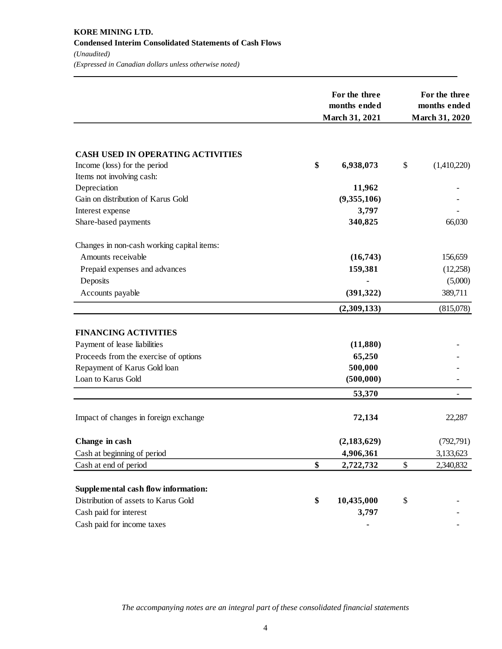|                                            | For the three<br>months ended<br>March 31, 2021 |               | For the three<br>months ended<br><b>March 31, 2020</b> |                          |  |
|--------------------------------------------|-------------------------------------------------|---------------|--------------------------------------------------------|--------------------------|--|
|                                            |                                                 |               |                                                        |                          |  |
| <b>CASH USED IN OPERATING ACTIVITIES</b>   |                                                 |               |                                                        |                          |  |
| Income (loss) for the period               | \$                                              | 6,938,073     | \$                                                     | (1,410,220)              |  |
| Items not involving cash:                  |                                                 |               |                                                        |                          |  |
| Depreciation                               |                                                 | 11,962        |                                                        |                          |  |
| Gain on distribution of Karus Gold         |                                                 | (9,355,106)   |                                                        |                          |  |
| Interest expense                           |                                                 | 3,797         |                                                        |                          |  |
| Share-based payments                       |                                                 | 340,825       |                                                        | 66,030                   |  |
| Changes in non-cash working capital items: |                                                 |               |                                                        |                          |  |
| Amounts receivable                         |                                                 | (16,743)      |                                                        | 156,659                  |  |
| Prepaid expenses and advances              |                                                 | 159,381       |                                                        | (12,258)                 |  |
| Deposits                                   |                                                 |               |                                                        | (5,000)                  |  |
| Accounts payable                           |                                                 | (391, 322)    |                                                        | 389,711                  |  |
|                                            |                                                 | (2,309,133)   |                                                        | (815,078)                |  |
| <b>FINANCING ACTIVITIES</b>                |                                                 |               |                                                        |                          |  |
| Payment of lease liabilities               |                                                 | (11,880)      |                                                        |                          |  |
| Proceeds from the exercise of options      |                                                 | 65,250        |                                                        |                          |  |
| Repayment of Karus Gold loan               |                                                 | 500,000       |                                                        |                          |  |
| Loan to Karus Gold                         |                                                 | (500,000)     |                                                        |                          |  |
|                                            |                                                 |               |                                                        |                          |  |
|                                            |                                                 | 53,370        |                                                        | $\overline{\phantom{a}}$ |  |
| Impact of changes in foreign exchange      |                                                 | 72,134        |                                                        | 22,287                   |  |
| Change in cash                             |                                                 | (2, 183, 629) |                                                        | (792, 791)               |  |
| Cash at beginning of period                |                                                 | 4,906,361     |                                                        | 3,133,623                |  |
| Cash at end of period                      | \$                                              | 2,722,732     | \$                                                     | 2,340,832                |  |
|                                            |                                                 |               |                                                        |                          |  |
| Supplemental cash flow information:        |                                                 |               |                                                        |                          |  |
| Distribution of assets to Karus Gold       | \$                                              | 10,435,000    | \$                                                     |                          |  |
| Cash paid for interest                     |                                                 | 3,797         |                                                        |                          |  |
| Cash paid for income taxes                 |                                                 |               |                                                        |                          |  |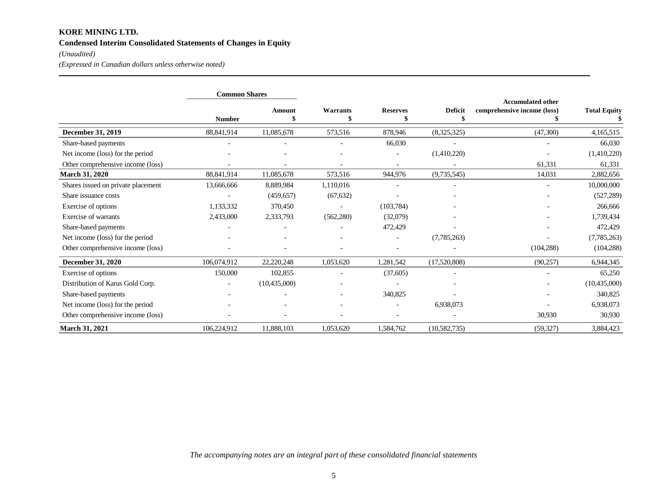## **KORE MINING LTD. Condensed Interim Consolidated Statements of Changes in Equity**

## *(Unaudited)*

*(Expressed in Canadian dollars unless otherwise noted)*

|                                    | <b>Common Shares</b> |               |                |                 |                      |                                                         |                     |
|------------------------------------|----------------------|---------------|----------------|-----------------|----------------------|---------------------------------------------------------|---------------------|
|                                    | <b>Number</b>        | <b>Amount</b> | Warrants<br>\$ | <b>Reserves</b> | <b>Deficit</b><br>\$ | <b>Accumulated other</b><br>comprehensive income (loss) | <b>Total Equity</b> |
| <b>December 31, 2019</b>           | 88,841,914           | 11,085,678    | 573,516        | 878,946         | (8,325,325)          | (47,300)                                                | 4,165,515           |
| Share-based payments               |                      |               |                | 66,030          |                      |                                                         | 66,030              |
| Net income (loss) for the period   |                      |               |                |                 | (1,410,220)          |                                                         | (1,410,220)         |
| Other comprehensive income (loss)  |                      |               |                |                 |                      | 61,331                                                  | 61,331              |
| <b>March 31, 2020</b>              | 88,841,914           | 11,085,678    | 573,516        | 944,976         | (9,735,545)          | 14,031                                                  | 2,882,656           |
| Shares issued on private placement | 13,666,666           | 8,889,984     | 1,110,016      |                 |                      |                                                         | 10,000,000          |
| Share issuance costs               |                      | (459, 657)    | (67, 632)      |                 |                      |                                                         | (527, 289)          |
| Exercise of options                | 1,133,332            | 370,450       |                | (103, 784)      |                      |                                                         | 266,666             |
| Exercise of warrants               | 2,433,000            | 2,333,793     | (562, 280)     | (32,079)        |                      |                                                         | 1,739,434           |
| Share-based payments               |                      |               |                | 472,429         |                      |                                                         | 472,429             |
| Net income (loss) for the period   |                      |               |                |                 | (7,785,263)          |                                                         | (7,785,263)         |
| Other comprehensive income (loss)  |                      |               |                |                 |                      | (104, 288)                                              | (104, 288)          |
| <b>December 31, 2020</b>           | 106,074,912          | 22,220,248    | 1,053,620      | 1,281,542       | (17,520,808)         | (90, 257)                                               | 6,944,345           |
| Exercise of options                | 150,000              | 102,855       |                | (37,605)        |                      |                                                         | 65,250              |
| Distribution of Karus Gold Corp.   |                      | (10,435,000)  |                |                 |                      |                                                         | (10, 435, 000)      |
| Share-based payments               |                      |               |                | 340,825         |                      |                                                         | 340,825             |
| Net income (loss) for the period   |                      |               |                |                 | 6,938,073            |                                                         | 6,938,073           |
| Other comprehensive income (loss)  |                      |               |                |                 |                      | 30,930                                                  | 30,930              |
| <b>March 31, 2021</b>              | 106,224,912          | 11,888,103    | 1,053,620      | 1,584,762       | (10, 582, 735)       | (59, 327)                                               | 3,884,423           |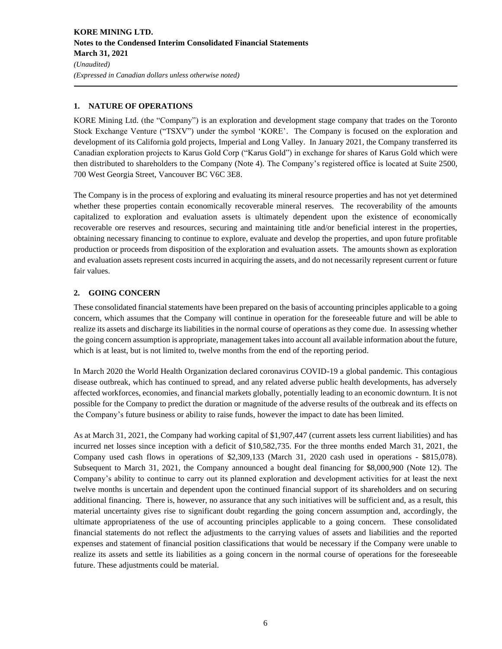## **1. NATURE OF OPERATIONS**

KORE Mining Ltd. (the "Company") is an exploration and development stage company that trades on the Toronto Stock Exchange Venture ("TSXV") under the symbol 'KORE'. The Company is focused on the exploration and development of its California gold projects, Imperial and Long Valley. In January 2021, the Company transferred its Canadian exploration projects to Karus Gold Corp ("Karus Gold") in exchange for shares of Karus Gold which were then distributed to shareholders to the Company (Note 4). The Company's registered office is located at Suite 2500, 700 West Georgia Street, Vancouver BC V6C 3E8.

The Company is in the process of exploring and evaluating its mineral resource properties and has not yet determined whether these properties contain economically recoverable mineral reserves. The recoverability of the amounts capitalized to exploration and evaluation assets is ultimately dependent upon the existence of economically recoverable ore reserves and resources, securing and maintaining title and/or beneficial interest in the properties, obtaining necessary financing to continue to explore, evaluate and develop the properties, and upon future profitable production or proceeds from disposition of the exploration and evaluation assets. The amounts shown as exploration and evaluation assets represent costs incurred in acquiring the assets, and do not necessarily represent current or future fair values.

## **2. GOING CONCERN**

These consolidated financial statements have been prepared on the basis of accounting principles applicable to a going concern, which assumes that the Company will continue in operation for the foreseeable future and will be able to realize its assets and discharge its liabilities in the normal course of operations as they come due. In assessing whether the going concern assumption is appropriate, management takes into account all available information about the future, which is at least, but is not limited to, twelve months from the end of the reporting period.

In March 2020 the World Health Organization declared coronavirus COVID-19 a global pandemic. This contagious disease outbreak, which has continued to spread, and any related adverse public health developments, has adversely affected workforces, economies, and financial markets globally, potentially leading to an economic downturn. It is not possible for the Company to predict the duration or magnitude of the adverse results of the outbreak and its effects on the Company's future business or ability to raise funds, however the impact to date has been limited.

As at March 31, 2021, the Company had working capital of \$1,907,447 (current assets less current liabilities) and has incurred net losses since inception with a deficit of \$10,582,735. For the three months ended March 31, 2021, the Company used cash flows in operations of \$2,309,133 (March 31, 2020 cash used in operations - \$815,078). Subsequent to March 31, 2021, the Company announced a bought deal financing for \$8,000,900 (Note 12). The Company's ability to continue to carry out its planned exploration and development activities for at least the next twelve months is uncertain and dependent upon the continued financial support of its shareholders and on securing additional financing. There is, however, no assurance that any such initiatives will be sufficient and, as a result, this material uncertainty gives rise to significant doubt regarding the going concern assumption and, accordingly, the ultimate appropriateness of the use of accounting principles applicable to a going concern. These consolidated financial statements do not reflect the adjustments to the carrying values of assets and liabilities and the reported expenses and statement of financial position classifications that would be necessary if the Company were unable to realize its assets and settle its liabilities as a going concern in the normal course of operations for the foreseeable future. These adjustments could be material.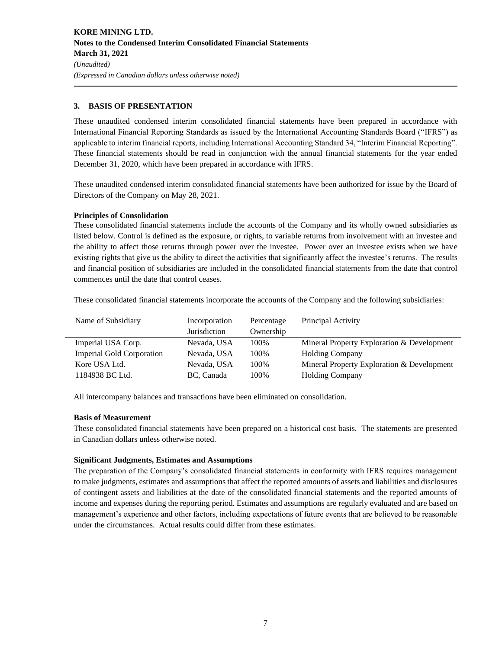## **3. BASIS OF PRESENTATION**

These unaudited condensed interim consolidated financial statements have been prepared in accordance with International Financial Reporting Standards as issued by the International Accounting Standards Board ("IFRS") as applicable to interim financial reports, including International Accounting Standard 34, "Interim Financial Reporting". These financial statements should be read in conjunction with the annual financial statements for the year ended December 31, 2020, which have been prepared in accordance with IFRS.

These unaudited condensed interim consolidated financial statements have been authorized for issue by the Board of Directors of the Company on May 28, 2021.

#### **Principles of Consolidation**

These consolidated financial statements include the accounts of the Company and its wholly owned subsidiaries as listed below. Control is defined as the exposure, or rights, to variable returns from involvement with an investee and the ability to affect those returns through power over the investee. Power over an investee exists when we have existing rights that give us the ability to direct the activities that significantly affect the investee's returns. The results and financial position of subsidiaries are included in the consolidated financial statements from the date that control commences until the date that control ceases.

These consolidated financial statements incorporate the accounts of the Company and the following subsidiaries:

| Name of Subsidiary               | Incorporation | Percentage | Principal Activity                         |
|----------------------------------|---------------|------------|--------------------------------------------|
|                                  | Jurisdiction  | Ownership  |                                            |
| Imperial USA Corp.               | Nevada, USA   | 100%       | Mineral Property Exploration & Development |
| <b>Imperial Gold Corporation</b> | Nevada, USA   | 100\%      | <b>Holding Company</b>                     |
| Kore USA Ltd.                    | Nevada, USA   | 100%       | Mineral Property Exploration & Development |
| 1184938 BC Ltd.                  | BC, Canada    | 100%       | <b>Holding Company</b>                     |

All intercompany balances and transactions have been eliminated on consolidation.

## **Basis of Measurement**

These consolidated financial statements have been prepared on a historical cost basis. The statements are presented in Canadian dollars unless otherwise noted.

## **Significant Judgments, Estimates and Assumptions**

The preparation of the Company's consolidated financial statements in conformity with IFRS requires management to make judgments, estimates and assumptions that affect the reported amounts of assets and liabilities and disclosures of contingent assets and liabilities at the date of the consolidated financial statements and the reported amounts of income and expenses during the reporting period. Estimates and assumptions are regularly evaluated and are based on management's experience and other factors, including expectations of future events that are believed to be reasonable under the circumstances. Actual results could differ from these estimates.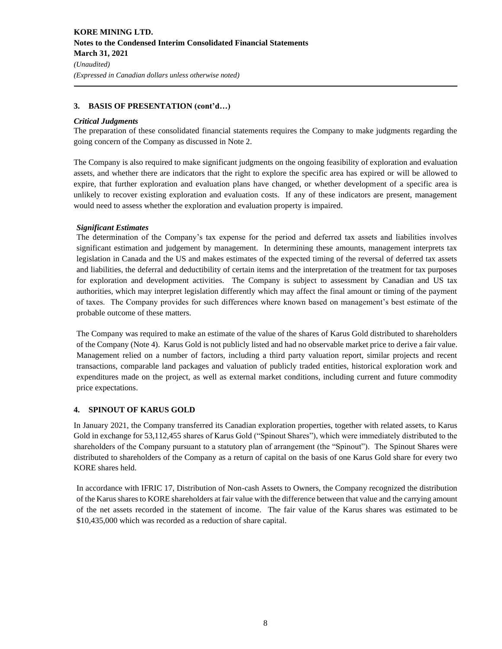## **3. BASIS OF PRESENTATION (cont'd…)**

#### *Critical Judgments*

The preparation of these consolidated financial statements requires the Company to make judgments regarding the going concern of the Company as discussed in Note 2.

The Company is also required to make significant judgments on the ongoing feasibility of exploration and evaluation assets, and whether there are indicators that the right to explore the specific area has expired or will be allowed to expire, that further exploration and evaluation plans have changed, or whether development of a specific area is unlikely to recover existing exploration and evaluation costs. If any of these indicators are present, management would need to assess whether the exploration and evaluation property is impaired.

## *Significant Estimates*

The determination of the Company's tax expense for the period and deferred tax assets and liabilities involves significant estimation and judgement by management. In determining these amounts, management interprets tax legislation in Canada and the US and makes estimates of the expected timing of the reversal of deferred tax assets and liabilities, the deferral and deductibility of certain items and the interpretation of the treatment for tax purposes for exploration and development activities. The Company is subject to assessment by Canadian and US tax authorities, which may interpret legislation differently which may affect the final amount or timing of the payment of taxes. The Company provides for such differences where known based on management's best estimate of the probable outcome of these matters.

The Company was required to make an estimate of the value of the shares of Karus Gold distributed to shareholders of the Company (Note 4). Karus Gold is not publicly listed and had no observable market price to derive a fair value. Management relied on a number of factors, including a third party valuation report, similar projects and recent transactions, comparable land packages and valuation of publicly traded entities, historical exploration work and expenditures made on the project, as well as external market conditions, including current and future commodity price expectations.

## **4. SPINOUT OF KARUS GOLD**

In January 2021, the Company transferred its Canadian exploration properties, together with related assets, to Karus Gold in exchange for 53,112,455 shares of Karus Gold ("Spinout Shares"), which were immediately distributed to the shareholders of the Company pursuant to a statutory plan of arrangement (the "Spinout"). The Spinout Shares were distributed to shareholders of the Company as a return of capital on the basis of one Karus Gold share for every two KORE shares held.

In accordance with IFRIC 17, Distribution of Non-cash Assets to Owners, the Company recognized the distribution of the Karus shares to KORE shareholders at fair value with the difference between that value and the carrying amount of the net assets recorded in the statement of income. The fair value of the Karus shares was estimated to be \$10,435,000 which was recorded as a reduction of share capital.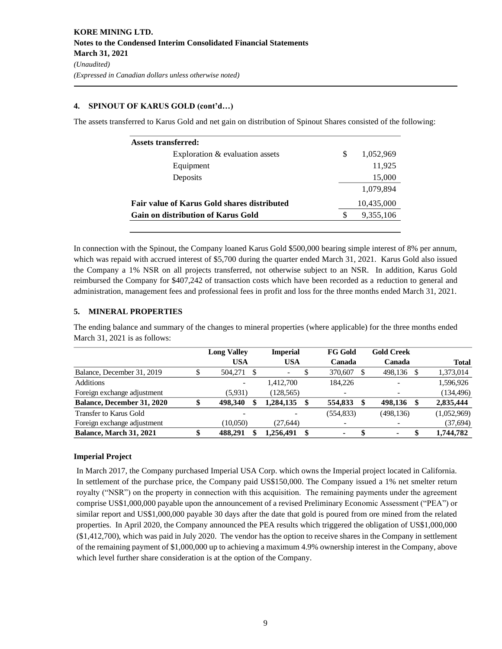## **4. SPINOUT OF KARUS GOLD (cont'd…)**

The assets transferred to Karus Gold and net gain on distribution of Spinout Shares consisted of the following:

| <b>Assets transferred:</b>                         |     |            |
|----------------------------------------------------|-----|------------|
| Exploration & evaluation assets                    | \$. | 1,052,969  |
| Equipment                                          |     | 11,925     |
| Deposits                                           |     | 15,000     |
|                                                    |     | 1.079.894  |
| <b>Fair value of Karus Gold shares distributed</b> |     | 10,435,000 |
| Gain on distribution of Karus Gold                 | S   | 9,355,106  |

In connection with the Spinout, the Company loaned Karus Gold \$500,000 bearing simple interest of 8% per annum, which was repaid with accrued interest of \$5,700 during the quarter ended March 31, 2021. Karus Gold also issued the Company a 1% NSR on all projects transferred, not otherwise subject to an NSR. In addition, Karus Gold reimbursed the Company for \$407,242 of transaction costs which have been recorded as a reduction to general and administration, management fees and professional fees in profit and loss for the three months ended March 31, 2021.

## **5. MINERAL PROPERTIES**

The ending balance and summary of the changes to mineral properties (where applicable) for the three months ended March 31, 2021 is as follows:

|                                   |   | <b>Long Valley</b> |      | <b>Imperial</b>          |    | <b>FG Gold</b>           | <b>Gold Creek</b> |     |              |
|-----------------------------------|---|--------------------|------|--------------------------|----|--------------------------|-------------------|-----|--------------|
|                                   |   | <b>USA</b>         |      | <b>USA</b>               |    | Canada                   | Canada            |     | <b>Total</b> |
| Balance, December 31, 2019        |   | 504,271            | - \$ | $\overline{\phantom{0}}$ |    | 370,607                  | 498.136           | -S  | 1,373,014    |
| Additions                         |   |                    |      | 1.412.700                |    | 184.226                  |                   |     | 1,596,926    |
| Foreign exchange adjustment       |   | (5,931)            |      | (128, 565)               |    | $\overline{\phantom{a}}$ |                   |     | (134, 496)   |
| <b>Balance, December 31, 2020</b> |   | 498.340            |      | .284.135                 | -S | 554,833                  | \$<br>498.136     | \$. | 2,835,444    |
| Transfer to Karus Gold            |   |                    |      |                          |    | (554, 833)               | (498, 136)        |     | (1,052,969)  |
| Foreign exchange adjustment       |   | (10.050)           |      | (27.644)                 |    | $\overline{\phantom{a}}$ |                   |     | (37,694)     |
| <b>Balance, March 31, 2021</b>    | Φ | 488.291            |      | 1,256,491                | -S | ۰                        | $\blacksquare$    | S   | 1,744,782    |

## **Imperial Project**

In March 2017, the Company purchased Imperial USA Corp. which owns the Imperial project located in California. In settlement of the purchase price, the Company paid US\$150,000. The Company issued a 1% net smelter return royalty ("NSR") on the property in connection with this acquisition. The remaining payments under the agreement comprise US\$1,000,000 payable upon the announcement of a revised Preliminary Economic Assessment ("PEA") or similar report and US\$1,000,000 payable 30 days after the date that gold is poured from ore mined from the related properties. In April 2020, the Company announced the PEA results which triggered the obligation of US\$1,000,000 (\$1,412,700), which was paid in July 2020. The vendor has the option to receive shares in the Company in settlement of the remaining payment of \$1,000,000 up to achieving a maximum 4.9% ownership interest in the Company, above which level further share consideration is at the option of the Company.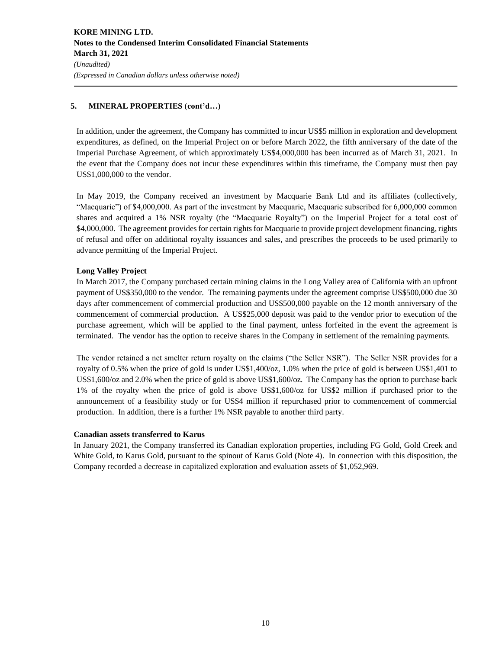## **5. MINERAL PROPERTIES (cont'd…)**

In addition, under the agreement, the Company has committed to incur US\$5 million in exploration and development expenditures, as defined, on the Imperial Project on or before March 2022, the fifth anniversary of the date of the Imperial Purchase Agreement, of which approximately US\$4,000,000 has been incurred as of March 31, 2021. In the event that the Company does not incur these expenditures within this timeframe, the Company must then pay US\$1,000,000 to the vendor.

In May 2019, the Company received an investment by Macquarie Bank Ltd and its affiliates (collectively, "Macquarie") of \$4,000,000. As part of the investment by Macquarie, Macquarie subscribed for 6,000,000 common shares and acquired a 1% NSR royalty (the "Macquarie Royalty") on the Imperial Project for a total cost of \$4,000,000. The agreement provides for certain rights for Macquarie to provide project development financing, rights of refusal and offer on additional royalty issuances and sales, and prescribes the proceeds to be used primarily to advance permitting of the Imperial Project.

## **Long Valley Project**

In March 2017, the Company purchased certain mining claims in the Long Valley area of California with an upfront payment of US\$350,000 to the vendor. The remaining payments under the agreement comprise US\$500,000 due 30 days after commencement of commercial production and US\$500,000 payable on the 12 month anniversary of the commencement of commercial production. A US\$25,000 deposit was paid to the vendor prior to execution of the purchase agreement, which will be applied to the final payment, unless forfeited in the event the agreement is terminated. The vendor has the option to receive shares in the Company in settlement of the remaining payments.

The vendor retained a net smelter return royalty on the claims ("the Seller NSR"). The Seller NSR provides for a royalty of 0.5% when the price of gold is under US\$1,400/oz, 1.0% when the price of gold is between US\$1,401 to US\$1,600/oz and 2.0% when the price of gold is above US\$1,600/oz. The Company has the option to purchase back 1% of the royalty when the price of gold is above US\$1,600/oz for US\$2 million if purchased prior to the announcement of a feasibility study or for US\$4 million if repurchased prior to commencement of commercial production. In addition, there is a further 1% NSR payable to another third party.

## **Canadian assets transferred to Karus**

In January 2021, the Company transferred its Canadian exploration properties, including FG Gold, Gold Creek and White Gold, to Karus Gold, pursuant to the spinout of Karus Gold (Note 4). In connection with this disposition, the Company recorded a decrease in capitalized exploration and evaluation assets of \$1,052,969.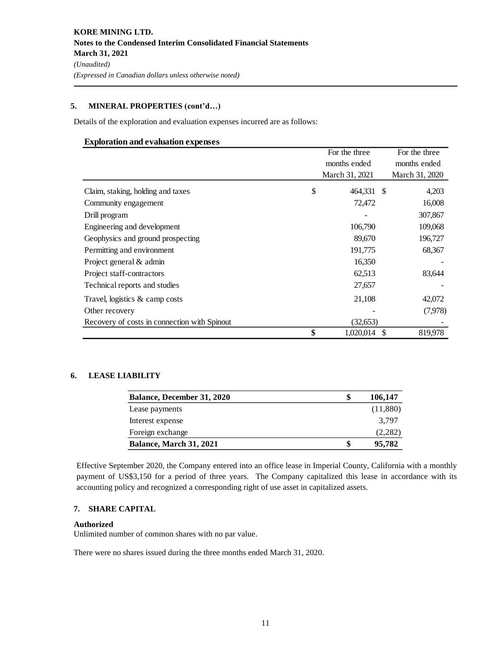## **5. MINERAL PROPERTIES (cont'd…)**

Details of the exploration and evaluation expenses incurred are as follows:

#### **Exploration and evaluation expenses**

|                                              | For the three |                |      | For the three  |  |
|----------------------------------------------|---------------|----------------|------|----------------|--|
|                                              |               | months ended   |      | months ended   |  |
|                                              |               | March 31, 2021 |      | March 31, 2020 |  |
| Claim, staking, holding and taxes            | \$            | 464,331 \$     |      | 4,203          |  |
| Community engagement                         |               | 72,472         |      | 16,008         |  |
| Drill program                                |               |                |      | 307,867        |  |
| Engineering and development                  |               | 106,790        |      | 109,068        |  |
| Geophysics and ground prospecting            |               | 89,670         |      | 196,727        |  |
| Permitting and environment                   |               | 191,775        |      | 68,367         |  |
| Project general & admin                      |               | 16,350         |      |                |  |
| Project staff-contractors                    |               | 62,513         |      | 83,644         |  |
| Technical reports and studies                |               | 27,657         |      |                |  |
| Travel, logistics & camp costs               |               | 21,108         |      | 42,072         |  |
| Other recovery                               |               |                |      | (7,978)        |  |
| Recovery of costs in connection with Spinout |               | (32,653)       |      |                |  |
|                                              | \$            | 1,020,014      | - \$ | 819,978        |  |

## **6. LEASE LIABILITY**

| <b>Balance, December 31, 2020</b> | S | 106,147  |
|-----------------------------------|---|----------|
| Lease payments                    |   | (11,880) |
| Interest expense                  |   | 3.797    |
| Foreign exchange                  |   | (2,282)  |
| <b>Balance, March 31, 2021</b>    | S | 95,782   |

Effective September 2020, the Company entered into an office lease in Imperial County, California with a monthly payment of US\$3,150 for a period of three years. The Company capitalized this lease in accordance with its accounting policy and recognized a corresponding right of use asset in capitalized assets.

## **7. SHARE CAPITAL**

#### **Authorized**

Unlimited number of common shares with no par value.

There were no shares issued during the three months ended March 31, 2020.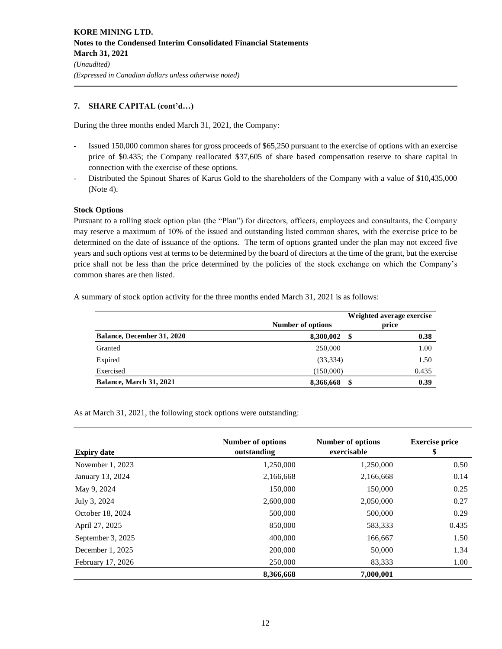## **7. SHARE CAPITAL (cont'd…)**

During the three months ended March 31, 2021, the Company:

- Issued 150,000 common shares for gross proceeds of \$65,250 pursuant to the exercise of options with an exercise price of \$0.435; the Company reallocated \$37,605 of share based compensation reserve to share capital in connection with the exercise of these options.
- Distributed the Spinout Shares of Karus Gold to the shareholders of the Company with a value of \$10,435,000 (Note 4).

## **Stock Options**

Pursuant to a rolling stock option plan (the "Plan") for directors, officers, employees and consultants, the Company may reserve a maximum of 10% of the issued and outstanding listed common shares, with the exercise price to be determined on the date of issuance of the options. The term of options granted under the plan may not exceed five years and such options vest at terms to be determined by the board of directors at the time of the grant, but the exercise price shall not be less than the price determined by the policies of the stock exchange on which the Company's common shares are then listed.

A summary of stock option activity for the three months ended March 31, 2021 is as follows:

|                                   | Number of options |      | Weighted average exercise<br>price |
|-----------------------------------|-------------------|------|------------------------------------|
| <b>Balance, December 31, 2020</b> | 8,300,002         | - \$ | 0.38                               |
| Granted                           | 250,000           |      | 1.00                               |
| Expired                           | (33, 334)         |      | 1.50                               |
| Exercised                         | (150,000)         |      | 0.435                              |
| <b>Balance, March 31, 2021</b>    | 8,366,668         | -\$  | 0.39                               |

As at March 31, 2021, the following stock options were outstanding:

| <b>Expiry date</b> | <b>Number of options</b><br>outstanding | Number of options<br>exercisable | <b>Exercise price</b><br>\$ |
|--------------------|-----------------------------------------|----------------------------------|-----------------------------|
| November 1, 2023   | 1,250,000                               | 1,250,000                        | 0.50                        |
| January 13, 2024   | 2,166,668                               | 2,166,668                        | 0.14                        |
| May 9, 2024        | 150,000                                 | 150,000                          | 0.25                        |
| July 3, 2024       | 2,600,000                               | 2,050,000                        | 0.27                        |
| October 18, 2024   | 500,000                                 | 500,000                          | 0.29                        |
| April 27, 2025     | 850,000                                 | 583,333                          | 0.435                       |
| September 3, 2025  | 400,000                                 | 166,667                          | 1.50                        |
| December 1, 2025   | 200,000                                 | 50,000                           | 1.34                        |
| February 17, 2026  | 250,000                                 | 83,333                           | 1.00                        |
|                    | 8,366,668                               | 7,000,001                        |                             |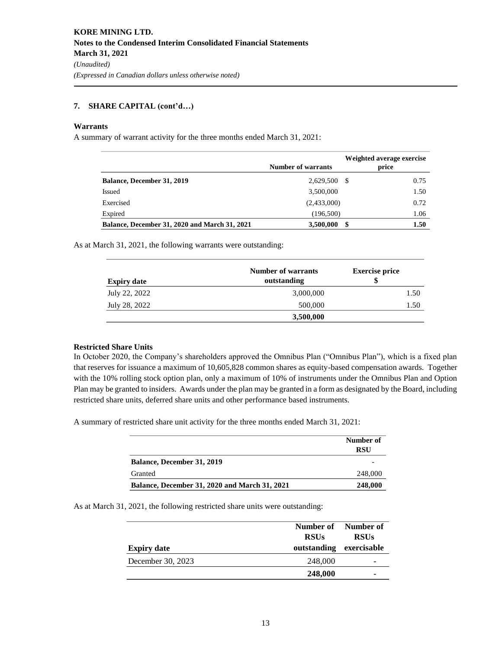## **7. SHARE CAPITAL (cont'd…)**

## **Warrants**

A summary of warrant activity for the three months ended March 31, 2021:

|                                                      | <b>Number of warrants</b> | Weighted average exercise<br>price |
|------------------------------------------------------|---------------------------|------------------------------------|
| Balance, December 31, 2019                           | 2,629,500 \$              | 0.75                               |
| Issued                                               | 3,500,000                 | 1.50                               |
| Exercised                                            | (2,433,000)               | 0.72                               |
| Expired                                              | (196,500)                 | 1.06                               |
| <b>Balance, December 31, 2020 and March 31, 2021</b> | 3,500,000                 | \$<br>1.50                         |

As at March 31, 2021, the following warrants were outstanding:

| <b>Expiry date</b> | <b>Number of warrants</b><br>outstanding | <b>Exercise price</b><br>\$ |  |  |
|--------------------|------------------------------------------|-----------------------------|--|--|
| July 22, 2022      | 3,000,000                                | 1.50                        |  |  |
| July 28, 2022      | 500,000                                  | 1.50                        |  |  |
|                    | 3,500,000                                |                             |  |  |

## **Restricted Share Units**

In October 2020, the Company's shareholders approved the Omnibus Plan ("Omnibus Plan"), which is a fixed plan that reserves for issuance a maximum of 10,605,828 common shares as equity-based compensation awards. Together with the 10% rolling stock option plan, only a maximum of 10% of instruments under the Omnibus Plan and Option Plan may be granted to insiders. Awards under the plan may be granted in a form as designated by the Board, including restricted share units, deferred share units and other performance based instruments.

A summary of restricted share unit activity for the three months ended March 31, 2021:

|                                                      | Number of<br><b>RSU</b> |  |  |
|------------------------------------------------------|-------------------------|--|--|
| <b>Balance, December 31, 2019</b>                    |                         |  |  |
| Granted                                              | 248,000                 |  |  |
| <b>Balance, December 31, 2020 and March 31, 2021</b> | 248,000                 |  |  |

As at March 31, 2021, the following restricted share units were outstanding:

| <b>Expiry date</b> | Number of Number of<br><b>RSUs</b><br>outstanding | <b>RSUs</b><br>exercisable |
|--------------------|---------------------------------------------------|----------------------------|
| December 30, 2023  | 248,000                                           | ۰                          |
|                    | 248,000                                           | ۰                          |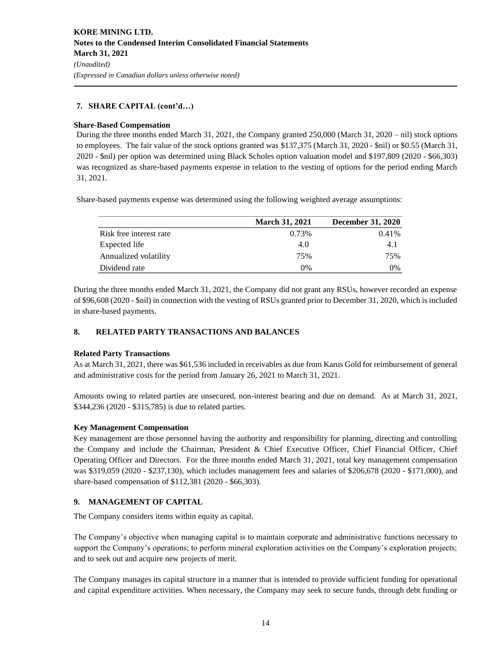## **7. SHARE CAPITAL (cont'd…)**

#### **Share-Based Compensation**

During the three months ended March 31, 2021, the Company granted 250,000 (March 31, 2020 – nil) stock options to employees. The fair value of the stock options granted was \$137,375 (March 31, 2020 - \$nil) or \$0.55 (March 31, 2020 - \$nil) per option was determined using Black Scholes option valuation model and \$197,809 (2020 - \$66,303) was recognized as share-based payments expense in relation to the vesting of options for the period ending March 31, 2021.

Share-based payments expense was determined using the following weighted average assumptions:

|                         | <b>March 31, 2021</b> | <b>December 31, 2020</b> |
|-------------------------|-----------------------|--------------------------|
| Risk free interest rate | 0.73%                 | $0.41\%$                 |
| Expected life           | 4.0                   | 4.1                      |
| Annualized volatility   | 75%                   | 75%                      |
| Dividend rate           | $0\%$                 | 0%                       |

During the three months ended March 31, 2021, the Company did not grant any RSUs, however recorded an expense of \$96,608 (2020 - \$nil) in connection with the vesting of RSUs granted prior to December 31, 2020, which is included in share-based payments.

## **8. RELATED PARTY TRANSACTIONS AND BALANCES**

## **Related Party Transactions**

As at March 31, 2021, there was \$61,536 included in receivables as due from Karus Gold for reimbursement of general and administrative costs for the period from January 26, 2021 to March 31, 2021.

Amounts owing to related parties are unsecured, non-interest bearing and due on demand. As at March 31, 2021, \$344,236 (2020 - \$315,785) is due to related parties.

## **Key Management Compensation**

Key management are those personnel having the authority and responsibility for planning, directing and controlling the Company and include the Chairman, President & Chief Executive Officer, Chief Financial Officer, Chief Operating Officer and Directors. For the three months ended March 31, 2021, total key management compensation was \$319,059 (2020 - \$237,130), which includes management fees and salaries of \$206,678 (2020 - \$171,000), and share-based compensation of \$112,381 (2020 - \$66,303).

## **9. MANAGEMENT OF CAPITAL**

The Company considers items within equity as capital.

The Company's objective when managing capital is to maintain corporate and administrative functions necessary to support the Company's operations; to perform mineral exploration activities on the Company's exploration projects; and to seek out and acquire new projects of merit.

The Company manages its capital structure in a manner that is intended to provide sufficient funding for operational and capital expenditure activities. When necessary, the Company may seek to secure funds, through debt funding or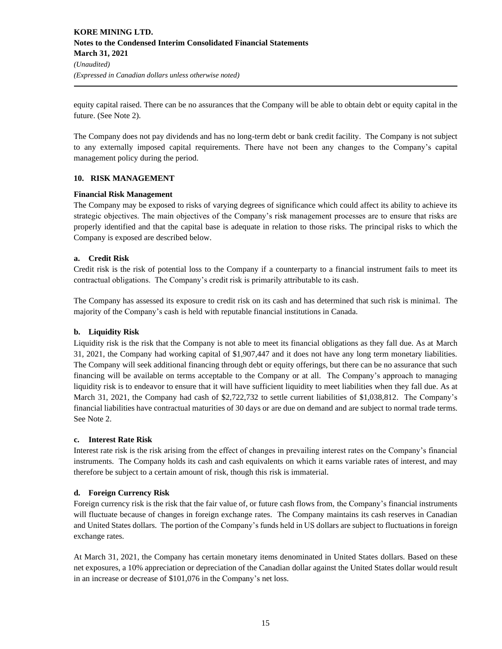equity capital raised. There can be no assurances that the Company will be able to obtain debt or equity capital in the future. (See Note 2).

The Company does not pay dividends and has no long-term debt or bank credit facility. The Company is not subject to any externally imposed capital requirements. There have not been any changes to the Company's capital management policy during the period.

## **10. RISK MANAGEMENT**

## **Financial Risk Management**

The Company may be exposed to risks of varying degrees of significance which could affect its ability to achieve its strategic objectives. The main objectives of the Company's risk management processes are to ensure that risks are properly identified and that the capital base is adequate in relation to those risks. The principal risks to which the Company is exposed are described below.

## **a. Credit Risk**

Credit risk is the risk of potential loss to the Company if a counterparty to a financial instrument fails to meet its contractual obligations. The Company's credit risk is primarily attributable to its cash.

The Company has assessed its exposure to credit risk on its cash and has determined that such risk is minimal. The majority of the Company's cash is held with reputable financial institutions in Canada.

## **b. Liquidity Risk**

Liquidity risk is the risk that the Company is not able to meet its financial obligations as they fall due. As at March 31, 2021, the Company had working capital of \$1,907,447 and it does not have any long term monetary liabilities. The Company will seek additional financing through debt or equity offerings, but there can be no assurance that such financing will be available on terms acceptable to the Company or at all. The Company's approach to managing liquidity risk is to endeavor to ensure that it will have sufficient liquidity to meet liabilities when they fall due. As at March 31, 2021, the Company had cash of \$2,722,732 to settle current liabilities of \$1,038,812. The Company's financial liabilities have contractual maturities of 30 days or are due on demand and are subject to normal trade terms. See Note 2.

## **c. Interest Rate Risk**

Interest rate risk is the risk arising from the effect of changes in prevailing interest rates on the Company's financial instruments. The Company holds its cash and cash equivalents on which it earns variable rates of interest, and may therefore be subject to a certain amount of risk, though this risk is immaterial.

## **d. Foreign Currency Risk**

Foreign currency risk is the risk that the fair value of, or future cash flows from, the Company's financial instruments will fluctuate because of changes in foreign exchange rates. The Company maintains its cash reserves in Canadian and United States dollars. The portion of the Company's funds held in US dollars are subject to fluctuations in foreign exchange rates.

At March 31, 2021, the Company has certain monetary items denominated in United States dollars. Based on these net exposures, a 10% appreciation or depreciation of the Canadian dollar against the United States dollar would result in an increase or decrease of \$101,076 in the Company's net loss.